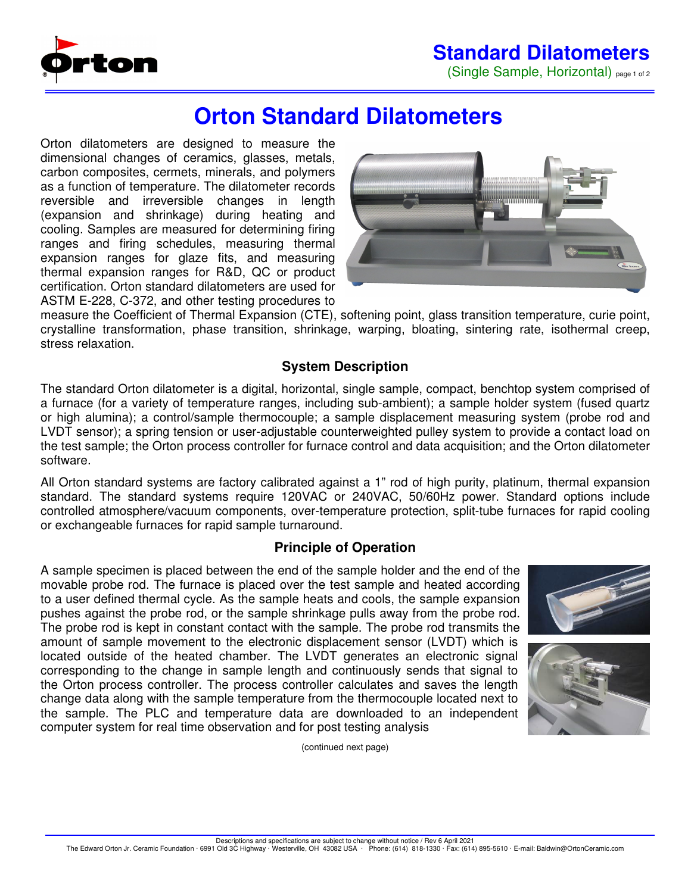## **Standard Dilatometers**

(Single Sample, Horizontal) page 1 of 2



# **Orton Standard Dilatometers**

Orton dilatometers are designed to measure the dimensional changes of ceramics, glasses, metals, carbon composites, cermets, minerals, and polymers as a function of temperature. The dilatometer records reversible and irreversible changes in length (expansion and shrinkage) during heating and cooling. Samples are measured for determining firing ranges and firing schedules, measuring thermal expansion ranges for glaze fits, and measuring thermal expansion ranges for R&D, QC or product certification. Orton standard dilatometers are used for ASTM E-228, C-372, and other testing procedures to



measure the Coefficient of Thermal Expansion (CTE), softening point, glass transition temperature, curie point, crystalline transformation, phase transition, shrinkage, warping, bloating, sintering rate, isothermal creep, stress relaxation.

#### **System Description**

The standard Orton dilatometer is a digital, horizontal, single sample, compact, benchtop system comprised of a furnace (for a variety of temperature ranges, including sub-ambient); a sample holder system (fused quartz or high alumina); a control/sample thermocouple; a sample displacement measuring system (probe rod and LVDT sensor); a spring tension or user-adjustable counterweighted pulley system to provide a contact load on the test sample; the Orton process controller for furnace control and data acquisition; and the Orton dilatometer software.

All Orton standard systems are factory calibrated against a 1" rod of high purity, platinum, thermal expansion standard. The standard systems require 120VAC or 240VAC, 50/60Hz power. Standard options include controlled atmosphere/vacuum components, over-temperature protection, split-tube furnaces for rapid cooling or exchangeable furnaces for rapid sample turnaround.

#### **Principle of Operation**

A sample specimen is placed between the end of the sample holder and the end of the movable probe rod. The furnace is placed over the test sample and heated according to a user defined thermal cycle. As the sample heats and cools, the sample expansion pushes against the probe rod, or the sample shrinkage pulls away from the probe rod. The probe rod is kept in constant contact with the sample. The probe rod transmits the amount of sample movement to the electronic displacement sensor (LVDT) which is located outside of the heated chamber. The LVDT generates an electronic signal corresponding to the change in sample length and continuously sends that signal to the Orton process controller. The process controller calculates and saves the length change data along with the sample temperature from the thermocouple located next to the sample. The PLC and temperature data are downloaded to an independent computer system for real time observation and for post testing analysis





(continued next page)